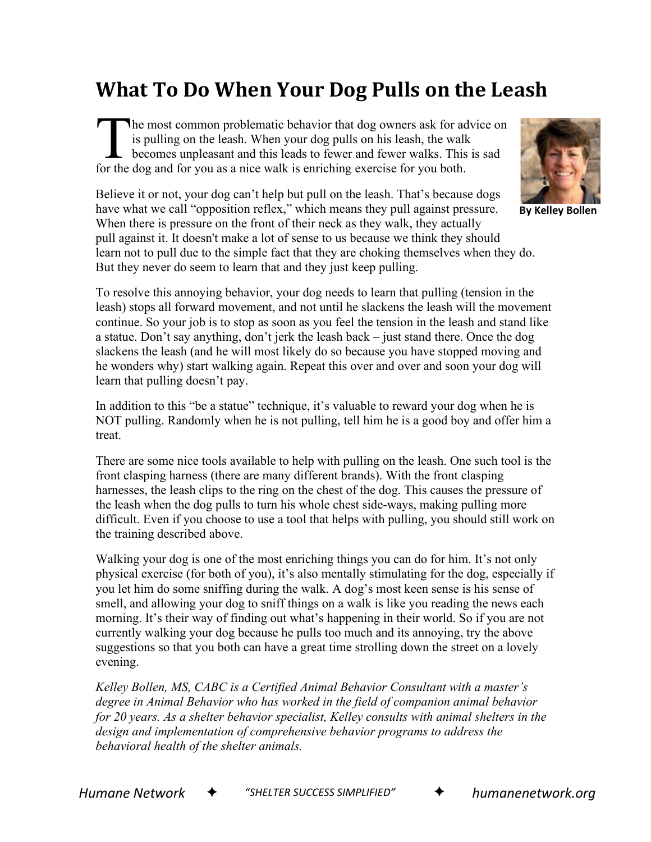## **What To Do When Your Dog Pulls on the Leash**

he most common problematic behavior that dog owners ask for advice on is pulling on the leash. When your dog pulls on his leash, the walk becomes unpleasant and this leads to fewer and fewer walks. This is sad The most common problematic behavior that dog owners ask for a<br>is pulling on the leash. When your dog pulls on his leash, the wall<br>becomes unpleasant and this leads to fewer and fewer walks. This<br>for the dog and for you as

Believe it or not, your dog can't help but pull on the leash. That's because dogs have what we call "opposition reflex," which means they pull against pressure. When there is pressure on the front of their neck as they walk, they actually pull against it. It doesn't make a lot of sense to us because we think they should learn not to pull due to the simple fact that they are choking themselves when they do. But they never do seem to learn that and they just keep pulling.



**By Kelley Bollen**

To resolve this annoying behavior, your dog needs to learn that pulling (tension in the leash) stops all forward movement, and not until he slackens the leash will the movement continue. So your job is to stop as soon as you feel the tension in the leash and stand like a statue. Don't say anything, don't jerk the leash back – just stand there. Once the dog slackens the leash (and he will most likely do so because you have stopped moving and he wonders why) start walking again. Repeat this over and over and soon your dog will learn that pulling doesn't pay.

In addition to this "be a statue" technique, it's valuable to reward your dog when he is NOT pulling. Randomly when he is not pulling, tell him he is a good boy and offer him a treat.

There are some nice tools available to help with pulling on the leash. One such tool is the front clasping harness (there are many different brands). With the front clasping harnesses, the leash clips to the ring on the chest of the dog. This causes the pressure of the leash when the dog pulls to turn his whole chest side-ways, making pulling more difficult. Even if you choose to use a tool that helps with pulling, you should still work on the training described above.

Walking your dog is one of the most enriching things you can do for him. It's not only physical exercise (for both of you), it's also mentally stimulating for the dog, especially if you let him do some sniffing during the walk. A dog's most keen sense is his sense of smell, and allowing your dog to sniff things on a walk is like you reading the news each morning. It's their way of finding out what's happening in their world. So if you are not currently walking your dog because he pulls too much and its annoying, try the above suggestions so that you both can have a great time strolling down the street on a lovely evening.

*Kelley Bollen, MS, CABC is a Certified Animal Behavior Consultant with a master's degree in Animal Behavior who has worked in the field of companion animal behavior for 20 years. As a shelter behavior specialist, Kelley consults with animal shelters in the design and implementation of comprehensive behavior programs to address the behavioral health of the shelter animals.*